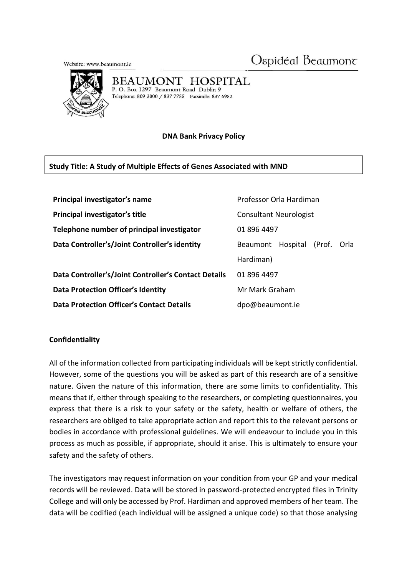Ospidéal Beaumont

Website: www.beaumont.ie



#### BEAUMONT HOSPITAL

P. O. Box 1297 Beaumont Road Dublin 9 Telephone: 809 3000 / 837 7755 Facsimile: 837 6982

# **DNA Bank Privacy Policy**

# **Study Title: A Study of Multiple Effects of Genes Associated with MND**

| Principal investigator's name                        | Professor Orla Hardiman                       |
|------------------------------------------------------|-----------------------------------------------|
| Principal investigator's title                       | <b>Consultant Neurologist</b>                 |
| Telephone number of principal investigator           | 01 896 4497                                   |
| Data Controller's/Joint Controller's identity        | Hospital<br>(Prof.<br>Orla<br><b>Beaumont</b> |
|                                                      | Hardiman)                                     |
| Data Controller's/Joint Controller's Contact Details | 01 896 4497                                   |
| <b>Data Protection Officer's Identity</b>            | Mr Mark Graham                                |
| <b>Data Protection Officer's Contact Details</b>     | dpo@beaumont.ie                               |

#### **Confidentiality**

All of the information collected from participating individuals will be kept strictly confidential. However, some of the questions you will be asked as part of this research are of a sensitive nature. Given the nature of this information, there are some limits to confidentiality. This means that if, either through speaking to the researchers, or completing questionnaires, you express that there is a risk to your safety or the safety, health or welfare of others, the researchers are obliged to take appropriate action and report this to the relevant persons or bodies in accordance with professional guidelines. We will endeavour to include you in this process as much as possible, if appropriate, should it arise. This is ultimately to ensure your safety and the safety of others.

The investigators may request information on your condition from your GP and your medical records will be reviewed. Data will be stored in password-protected encrypted files in Trinity College and will only be accessed by Prof. Hardiman and approved members of her team. The data will be codified (each individual will be assigned a unique code) so that those analysing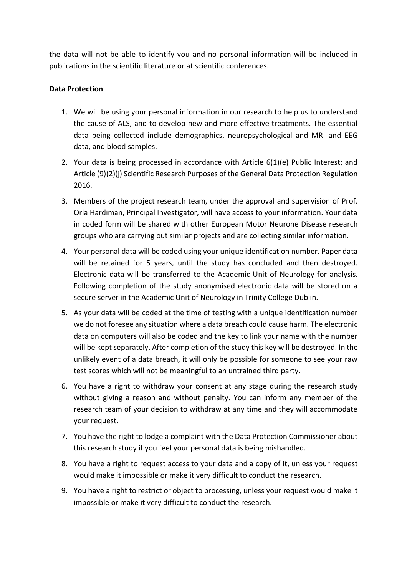the data will not be able to identify you and no personal information will be included in publications in the scientific literature or at scientific conferences.

### **Data Protection**

- 1. We will be using your personal information in our research to help us to understand the cause of ALS, and to develop new and more effective treatments. The essential data being collected include demographics, neuropsychological and MRI and EEG data, and blood samples.
- 2. Your data is being processed in accordance with Article 6(1)(e) Public Interest; and Article (9)(2)(j) Scientific Research Purposes of the General Data Protection Regulation 2016.
- 3. Members of the project research team, under the approval and supervision of Prof. Orla Hardiman, Principal Investigator, will have access to your information. Your data in coded form will be shared with other European Motor Neurone Disease research groups who are carrying out similar projects and are collecting similar information.
- 4. Your personal data will be coded using your unique identification number. Paper data will be retained for 5 years, until the study has concluded and then destroyed. Electronic data will be transferred to the Academic Unit of Neurology for analysis. Following completion of the study anonymised electronic data will be stored on a secure server in the Academic Unit of Neurology in Trinity College Dublin.
- 5. As your data will be coded at the time of testing with a unique identification number we do not foresee any situation where a data breach could cause harm. The electronic data on computers will also be coded and the key to link your name with the number will be kept separately. After completion of the study this key will be destroyed. In the unlikely event of a data breach, it will only be possible for someone to see your raw test scores which will not be meaningful to an untrained third party.
- 6. You have a right to withdraw your consent at any stage during the research study without giving a reason and without penalty. You can inform any member of the research team of your decision to withdraw at any time and they will accommodate your request.
- 7. You have the right to lodge a complaint with the Data Protection Commissioner about this research study if you feel your personal data is being mishandled.
- 8. You have a right to request access to your data and a copy of it, unless your request would make it impossible or make it very difficult to conduct the research.
- 9. You have a right to restrict or object to processing, unless your request would make it impossible or make it very difficult to conduct the research.